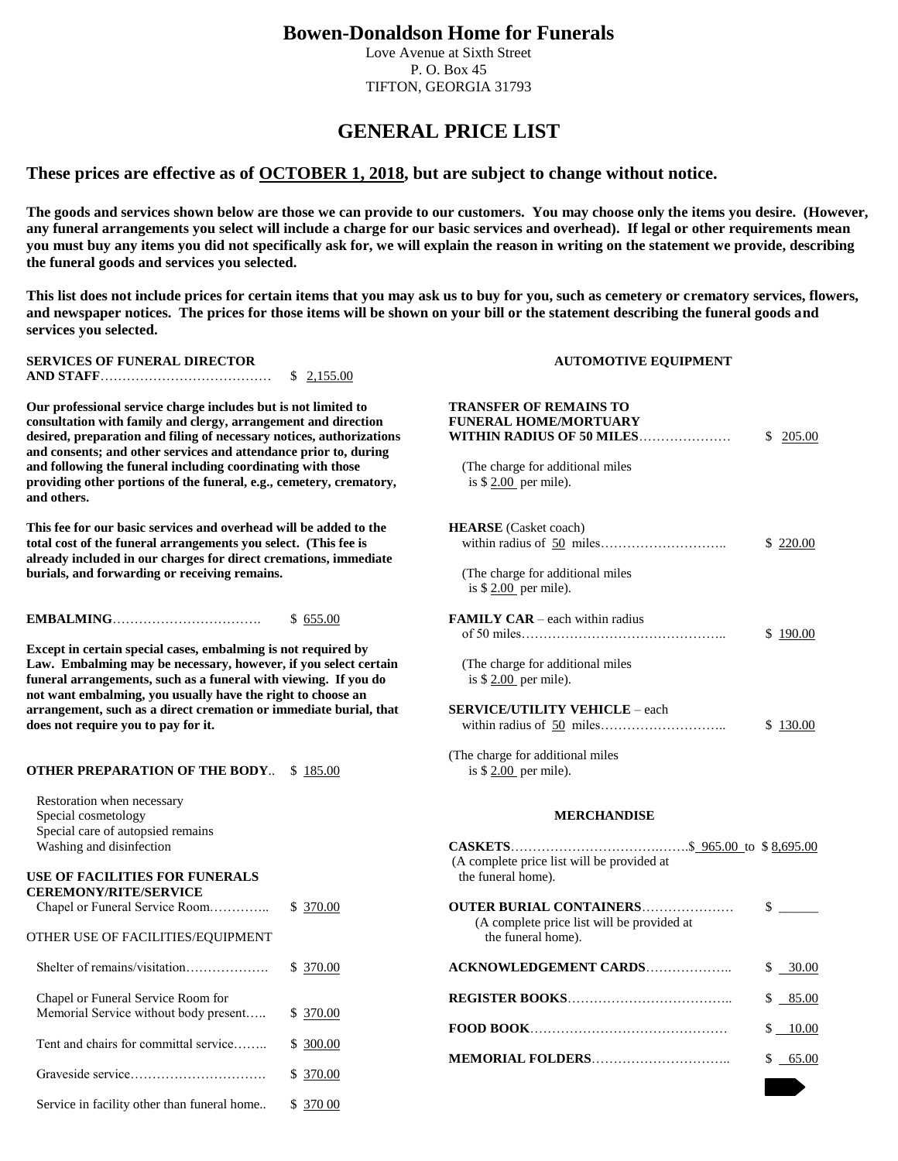# **Bowen-Donaldson Home for Funerals**

Love Avenue at Sixth Street P. O. Box 45 TIFTON, GEORGIA 31793

# **GENERAL PRICE LIST**

## **These prices are effective as of OCTOBER 1, 2018, but are subject to change without notice.**

**The goods and services shown below are those we can provide to our customers. You may choose only the items you desire. (However, any funeral arrangements you select will include a charge for our basic services and overhead). If legal or other requirements mean you must buy any items you did not specifically ask for, we will explain the reason in writing on the statement we provide, describing the funeral goods and services you selected.**

**This list does not include prices for certain items that you may ask us to buy for you, such as cemetery or crematory services, flowers, and newspaper notices. The prices for those items will be shown on your bill or the statement describing the funeral goods and services you selected.**

## **SERVICES OF FUNERAL DIRECTOR AUTOMOTIVE EQUIPMENT AND STAFF**………………………………… \$ 2,155.00

### **OTHER PREPARATION OF THE BODY..** \$ 185.00

#### **USE OF FACILITIES FOR FUNERALS CEREMONY/RITE/SERVICE**

| CEREMONT/RITE/SERVICE<br>Chapel or Funeral Service Room<br>OTHER USE OF FACILITIES/EQUIPMENT | \$ 370.00 | <b>OUTER BURIAL CON</b><br>(A complete price li<br>the funeral home). |
|----------------------------------------------------------------------------------------------|-----------|-----------------------------------------------------------------------|
| Shelter of remains/visitation                                                                | \$ 370.00 | <b>ACKNOWLEDGEMEI</b>                                                 |
| Chapel or Funeral Service Room for<br>Memorial Service without body present                  | \$ 370.00 | <b>REGISTER BOOKS</b>                                                 |
| Tent and chairs for committal service                                                        | \$ 300.00 | FOOD BOOK<br><b>MEMORIAL FOLDER</b>                                   |
|                                                                                              | \$ 370.00 |                                                                       |
| Service in facility other than funeral home                                                  | \$ 370 00 |                                                                       |

| Our professional service charge includes but is not limited to<br>consultation with family and clergy, arrangement and direction<br>desired, preparation and filing of necessary notices, authorizations<br>and consents; and other services and attendance prior to, during<br>and following the funeral including coordinating with those<br>providing other portions of the funeral, e.g., cemetery, crematory,<br>and others. |                        | <b>TRANSFER OF REMAINS TO</b><br><b>FUNERAL HOME/MORTUARY</b><br>WITHIN RADIUS OF 50 MILES<br>(The charge for additional miles<br>is $$2.00$ per mile). | \$ | 205.00                        |
|-----------------------------------------------------------------------------------------------------------------------------------------------------------------------------------------------------------------------------------------------------------------------------------------------------------------------------------------------------------------------------------------------------------------------------------|------------------------|---------------------------------------------------------------------------------------------------------------------------------------------------------|----|-------------------------------|
| This fee for our basic services and overhead will be added to the<br>total cost of the funeral arrangements you select. (This fee is<br>already included in our charges for direct cremations, immediate<br>burials, and forwarding or receiving remains.                                                                                                                                                                         |                        | <b>HEARSE</b> (Casket coach)<br>(The charge for additional miles<br>is $$2.00$ per mile).                                                               |    | \$ 220.00                     |
| Except in certain special cases, embalming is not required by<br>Law. Embalming may be necessary, however, if you select certain<br>funeral arrangements, such as a funeral with viewing. If you do<br>not want embalming, you usually have the right to choose an<br>arrangement, such as a direct cremation or immediate burial, that                                                                                           | \$655.00               | <b>FAMILY CAR</b> – each within radius<br>(The charge for additional miles<br>is $$2.00$ per mile).<br><b>SERVICE/UTILITY VEHICLE - each</b>            |    | \$190.00                      |
| does not require you to pay for it.<br><b>OTHER PREPARATION OF THE BODY \$185.00</b>                                                                                                                                                                                                                                                                                                                                              |                        | (The charge for additional miles<br>is $$2.00$ per mile).                                                                                               |    | \$130.00                      |
| Restoration when necessary<br>Special cosmetology<br>Special care of autopsied remains<br>Washing and disinfection<br>USE OF FACILITIES FOR FUNERALS<br><b>CEREMONY/RITE/SERVICE</b>                                                                                                                                                                                                                                              |                        | <b>MERCHANDISE</b><br>(A complete price list will be provided at<br>the funeral home).                                                                  |    |                               |
| Chapel or Funeral Service Room<br>OTHER USE OF FACILITIES/EQUIPMENT                                                                                                                                                                                                                                                                                                                                                               | \$ 370.00              | <b>OUTER BURIAL CONTAINERS</b><br>(A complete price list will be provided at<br>the funeral home).                                                      |    | $\mathbb{S}$ and $\mathbb{S}$ |
| Shelter of remains/visitation                                                                                                                                                                                                                                                                                                                                                                                                     | \$370.00               | ACKNOWLEDGEMENT CARDS                                                                                                                                   | S  | 30.00                         |
| Chapel or Funeral Service Room for<br>Memorial Service without body present                                                                                                                                                                                                                                                                                                                                                       | \$ 370.00              |                                                                                                                                                         | S. | 85.00<br>\$ 10.00             |
| Tent and chairs for committal service                                                                                                                                                                                                                                                                                                                                                                                             | \$ 300.00<br>\$ 370.00 |                                                                                                                                                         |    | \$65.00                       |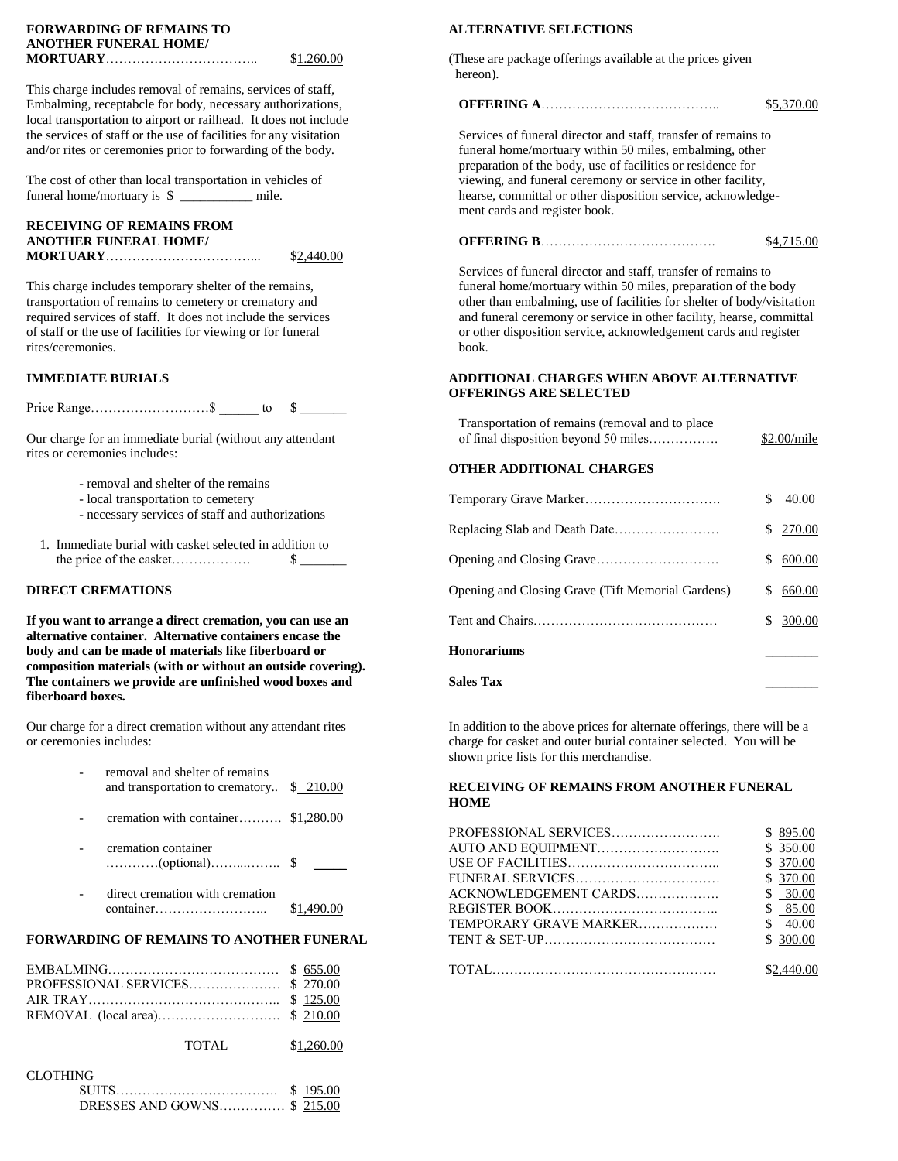# **FORWARDING OF REMAINS TO ALTERNATIVE SELECTIONS ANOTHER FUNERAL HOME/**

This charge includes removal of remains, services of staff, Embalming, receptabcle for body, necessary authorizations, **OFFERING A**………………………………….. \$5,370.00 local transportation to airport or railhead. It does not include the services of staff or the use of facilities for any visitation Services of funeral director and staff, transfer of remains to and/or rites or ceremonies prior to forwarding of the body. funeral home/mortuary within 50 miles, embalming, other

# **RECEIVING OF REMAINS FROM MORTUARY**……………………………... \$2,440.00

rites/ceremonies. book.

Price Range………………………\$ \_\_\_\_\_\_ to \$ \_\_\_\_\_\_\_

Our charge for an immediate burial (without any attendant rites or ceremonies includes:

- removal and shelter of the remains
- local transportation to cemetery
- necessary services of staff and authorizations
- 1. Immediate burial with casket selected in addition to the price of the casket……………… \$ \_\_\_\_\_\_\_ Opening and Closing Grave………………………. \$ 600.00

### **DIRECT CREMATIONS**

If you want to arrange a direct cremation, you can use an **alternative container. Alternative containers encase the body and can be made of materials like fiberboard or composition materials (with or without an outside covering). The containers we provide are unfinished wood boxes and Sales Tax \_\_\_\_\_\_\_\_ fiberboard boxes.**

| - | removal and shelter of remains            |  |
|---|-------------------------------------------|--|
|   | and transportation to crematory \$ 210.00 |  |

- cremation with container………. \$1,280.00
- cremation container …………(optional)……...…….. \$ \_\_\_\_\_ USE OF FACILITIES…………………………….. \$ 370.00
- direct cremation with cremation container…………………….. \$1,490.00 REGISTER BOOK……………………………….. \$ 85.00

## **FORWARDING OF REMAINS TO ANOTHER FUNERAL**

TOTAL \$1,260.00

### CLOTHING

|  | \$195.00 |
|--|----------|
|  |          |

 $$1.260.00$  (These are package offerings available at the prices given hereon).

 preparation of the body, use of facilities or residence for The cost of other than local transportation in vehicles of viewing, and funeral ceremony or service in other facility, funeral home/mortuary is \$ \_\_\_\_\_\_\_\_\_\_\_\_ mile. hearse, committal or other disposition service, acknowledgement cards and register book.

### **ANOTHER FUNERAL HOME/ OFFERING B**…………………………………. \$4,715.00

 Services of funeral director and staff, transfer of remains to This charge includes temporary shelter of the remains, funeral home/mortuary within 50 miles, preparation of the body transportation of remains to cemetery or crematory and other than embalming, use of facilities for shelter of body/visitation required services of staff. It does not include the services and funeral ceremony or service in other facility, hearse, committal of staff or the use of facilities for viewing or for funeral or other disposition service, acknowledgement cards and register

### **IMMEDIATE BURIALS ADDITIONAL CHARGES WHEN ABOVE ALTERNATIVE OFFERINGS ARE SELECTED**

| Transportation of remains (removal and to place)<br>of final disposition beyond 50 miles |     | \$2.00/mile |
|------------------------------------------------------------------------------------------|-----|-------------|
| <b>OTHER ADDITIONAL CHARGES</b>                                                          |     |             |
|                                                                                          | \$  | 40.00       |
| Replacing Slab and Death Date                                                            |     | \$270.00    |
|                                                                                          | \$. | 600.00      |
| Opening and Closing Grave (Tift Memorial Gardens)                                        | \$  | 660.00      |
|                                                                                          |     | \$300.00    |
| Honorariums                                                                              |     |             |

Our charge for a direct cremation without any attendant rites In addition to the above prices for alternate offerings, there will be a or ceremonies includes: charge for casket and outer burial container selected. You will be shown price lists for this merchandise.

### **RECEIVING OF REMAINS FROM ANOTHER FUNERAL HOME**

|                                                                        |                        | \$895.00   |
|------------------------------------------------------------------------|------------------------|------------|
| cremation container                                                    |                        | \$350.00   |
| $\dots\dots\dots\dots(\text{optional})\dots\dots\dots\dots\dots \quad$ |                        | \$370.00   |
|                                                                        |                        | \$370.00   |
| - direct cremation with cremation                                      | ACKNOWLEDGEMENT CARDS  | \$30.00    |
|                                                                        |                        | \$85.00    |
|                                                                        | TEMPORARY GRAVE MARKER | \$40.00    |
| FORWARDING OF REMAINS TO ANOTHER FUNERAL                               |                        | \$300.00   |
|                                                                        |                        | \$2,440.00 |
|                                                                        |                        |            |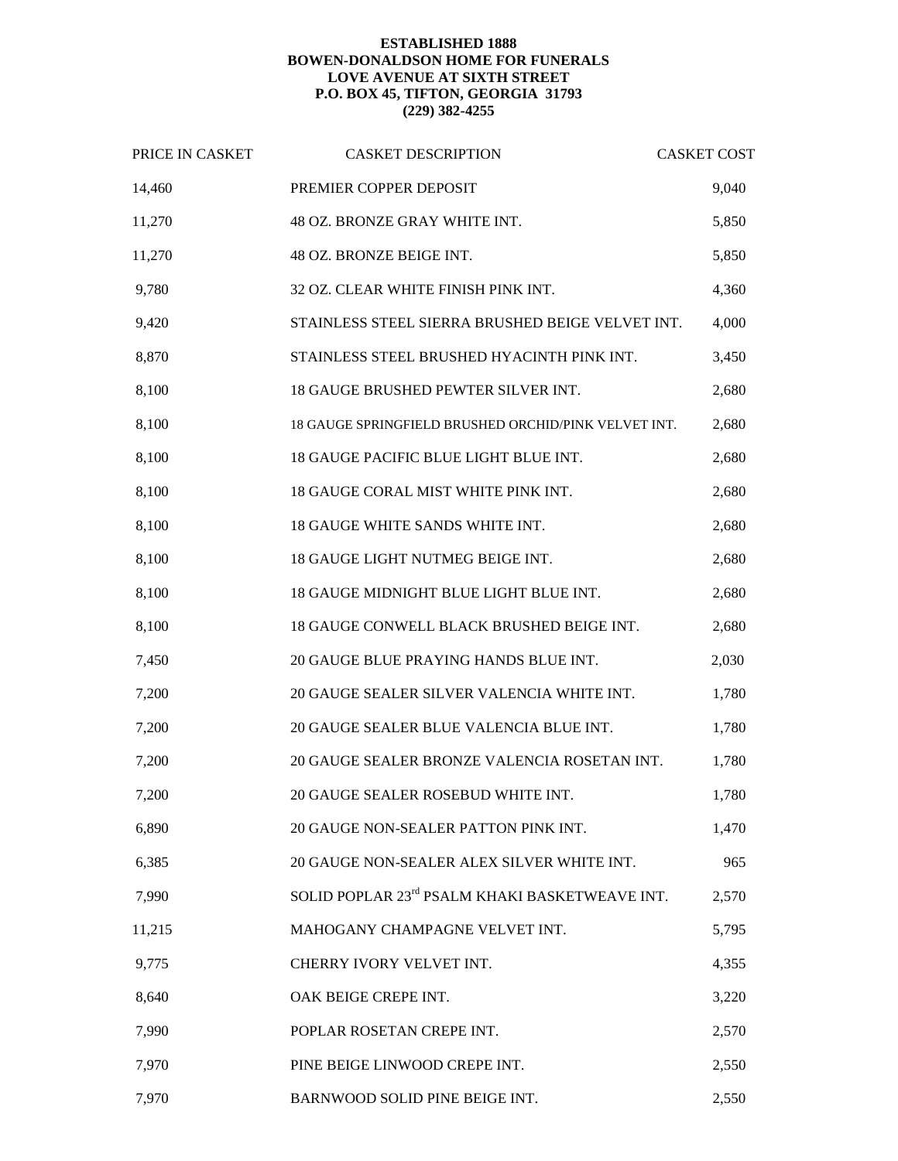## **ESTABLISHED 1888 BOWEN-DONALDSON HOME FOR FUNERALS LOVE AVENUE AT SIXTH STREET P.O. BOX 45, TIFTON, GEORGIA 31793 (229) 382-4255**

| PRICE IN CASKET | <b>CASKET DESCRIPTION</b>                            | <b>CASKET COST</b> |
|-----------------|------------------------------------------------------|--------------------|
| 14,460          | PREMIER COPPER DEPOSIT                               | 9,040              |
| 11,270          | 48 OZ. BRONZE GRAY WHITE INT.                        | 5,850              |
| 11,270          | 48 OZ. BRONZE BEIGE INT.                             | 5,850              |
| 9,780           | 32 OZ. CLEAR WHITE FINISH PINK INT.                  | 4,360              |
| 9,420           | STAINLESS STEEL SIERRA BRUSHED BEIGE VELVET INT.     | 4,000              |
| 8,870           | STAINLESS STEEL BRUSHED HYACINTH PINK INT.           | 3,450              |
| 8,100           | 18 GAUGE BRUSHED PEWTER SILVER INT.                  | 2,680              |
| 8,100           | 18 GAUGE SPRINGFIELD BRUSHED ORCHID/PINK VELVET INT. | 2,680              |
| 8,100           | 18 GAUGE PACIFIC BLUE LIGHT BLUE INT.                | 2,680              |
| 8,100           | 18 GAUGE CORAL MIST WHITE PINK INT.                  | 2,680              |
| 8,100           | 18 GAUGE WHITE SANDS WHITE INT.                      | 2,680              |
| 8,100           | 18 GAUGE LIGHT NUTMEG BEIGE INT.                     | 2,680              |
| 8,100           | 18 GAUGE MIDNIGHT BLUE LIGHT BLUE INT.               | 2,680              |
| 8,100           | 18 GAUGE CONWELL BLACK BRUSHED BEIGE INT.            | 2,680              |
| 7,450           | 20 GAUGE BLUE PRAYING HANDS BLUE INT.                | 2,030              |
| 7,200           | 20 GAUGE SEALER SILVER VALENCIA WHITE INT.           | 1,780              |
| 7,200           | 20 GAUGE SEALER BLUE VALENCIA BLUE INT.              | 1,780              |
| 7,200           | 20 GAUGE SEALER BRONZE VALENCIA ROSETAN INT.         | 1,780              |
| 7,200           | 20 GAUGE SEALER ROSEBUD WHITE INT.                   | 1,780              |
| 6,890           | 20 GAUGE NON-SEALER PATTON PINK INT.                 | 1,470              |
| 6,385           | 20 GAUGE NON-SEALER ALEX SILVER WHITE INT.           | 965                |
| 7,990           | SOLID POPLAR 23rd PSALM KHAKI BASKETWEAVE INT.       | 2,570              |
| 11,215          | MAHOGANY CHAMPAGNE VELVET INT.                       | 5,795              |
| 9,775           | CHERRY IVORY VELVET INT.                             | 4,355              |
| 8,640           | OAK BEIGE CREPE INT.                                 | 3,220              |
| 7,990           | POPLAR ROSETAN CREPE INT.                            | 2,570              |
| 7,970           | PINE BEIGE LINWOOD CREPE INT.                        | 2,550              |
| 7,970           | BARNWOOD SOLID PINE BEIGE INT.                       | 2,550              |